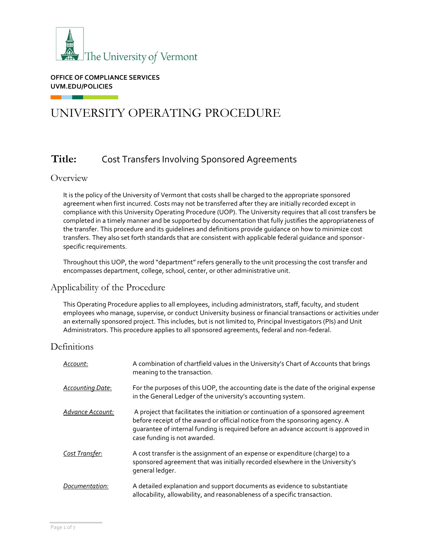

**OFFICE OF COMPLIANCE SERVICES UVM.EDU/POLICIES**

# UNIVERSITY OPERATING PROCEDURE

# **Title:** Cost Transfers Involving Sponsored Agreements

## **Overview**

. .

It is the policy of the University of Vermont that costs shall be charged to the appropriate sponsored agreement when first incurred. Costs may not be transferred after they are initially recorded except in compliance with this University Operating Procedure (UOP). The University requires that all cost transfers be completed in a timely manner and be supported by documentation that fully justifies the appropriateness of the transfer. This procedure and its guidelines and definitions provide guidance on how to minimize cost transfers. They also set forth standards that are consistent with applicable federal guidance and sponsorspecific requirements.

Throughout this UOP, the word "department" refers generally to the unit processing the cost transfer and encompasses department, college, school, center, or other administrative unit.

## Applicability of the Procedure

This Operating Procedure applies to all employees, including administrators, staff, faculty, and student employees who manage, supervise, or conduct University business or financial transactions or activities under an externally sponsored project. This includes, but is not limited to, Principal Investigators (PIs) and Unit Administrators. This procedure applies to all sponsored agreements, federal and non-federal.

## **Definitions**

| Account:                | A combination of chartfield values in the University's Chart of Accounts that brings<br>meaning to the transaction.                                                                                                                                                                      |
|-------------------------|------------------------------------------------------------------------------------------------------------------------------------------------------------------------------------------------------------------------------------------------------------------------------------------|
| <b>Accounting Date:</b> | For the purposes of this UOP, the accounting date is the date of the original expense<br>in the General Ledger of the university's accounting system.                                                                                                                                    |
| Advance Account:        | A project that facilitates the initiation or continuation of a sponsored agreement<br>before receipt of the award or official notice from the sponsoring agency. A<br>quarantee of internal funding is required before an advance account is approved in<br>case funding is not awarded. |
| Cost Transfer:          | A cost transfer is the assignment of an expense or expenditure (charge) to a<br>sponsored agreement that was initially recorded elsewhere in the University's<br>general ledger.                                                                                                         |
| Documentation:          | A detailed explanation and support documents as evidence to substantiate<br>allocability, allowability, and reasonableness of a specific transaction.                                                                                                                                    |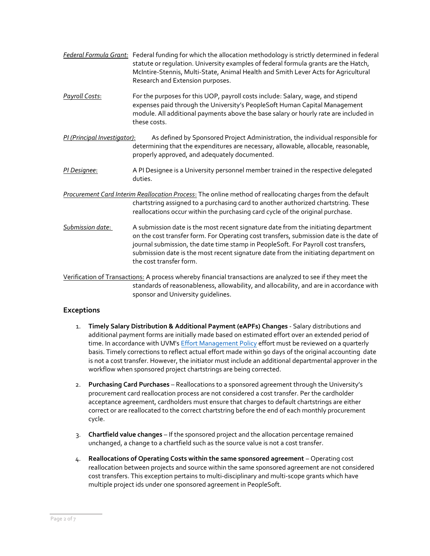- *Federal Formula Grant:* Federal funding for which the allocation methodology is strictly determined in federal statute or regulation. University examples of federal formula grants are the Hatch, McIntire-Stennis, Multi-State, Animal Health and Smith Lever Acts for Agricultural Research and Extension purposes.
- *Payroll Costs*: For the purposes for this UOP, payroll costs include: Salary, wage, and stipend expenses paid through the University's PeopleSoft Human Capital Management module. All additional payments above the base salary or hourly rate are included in these costs.
- *PI (Principal Investigator)*: As defined by Sponsored Project Administration, the individual responsible for determining that the expenditures are necessary, allowable, allocable, reasonable, properly approved, and adequately documented.
- *PI Designee*: A PI Designee is a University personnel member trained in the respective delegated duties.
- *Procurement Card Interim Reallocation Process*: The online method of reallocating charges from the default chartstring assigned to a purchasing card to another authorized chartstring. These reallocations occur within the purchasing card cycle of the original purchase.
- *Submission date*: A submission date is the most recent signature date from the initiating department on the cost transfer form. For Operating cost transfers, submission date is the date of journal submission, the date time stamp in PeopleSoft. For Payroll cost transfers, submission date is the most recent signature date from the initiating department on the cost transfer form.

Verification of Transactions: A process whereby financial transactions are analyzed to see if they meet the standards of reasonableness, allowability, and allocability, and are in accordance with sponsor and University guidelines.

## **Exceptions**

- 1. **Timely Salary Distribution & Additional Payment (eAPFs) Changes**  Salary distributions and additional payment forms are initially made based on estimated effort over an extended period of time. In accordance with UVM's [Effort Management Policy](https://www.uvm.edu/sites/default/files/UVM-Policies/policies/effortreporting.pdf) effort must be reviewed on a quarterly basis. Timely corrections to reflect actual effort made within 90 days of the original accounting date is not a cost transfer. However, the initiator must include an additional departmental approver in the workflow when sponsored project chartstrings are being corrected.
- 2. **Purchasing Card Purchases**  Reallocations to a sponsored agreement through the University's procurement card reallocation process are not considered a cost transfer. Per the cardholder acceptance agreement, cardholders must ensure that charges to default chartstrings are either correct or are reallocated to the correct chartstring before the end of each monthly procurement cycle.
- 3. **Chartfield value changes**  If the sponsored project and the allocation percentage remained unchanged, a change to a chartfield such as the source value is not a cost transfer.
- 4. **Reallocations of Operating Costs within the same sponsored agreement** Operating cost reallocation between projects and source within the same sponsored agreement are not considered cost transfers. This exception pertains to multi-disciplinary and multi-scope grants which have multiple project ids under one sponsored agreement in PeopleSoft.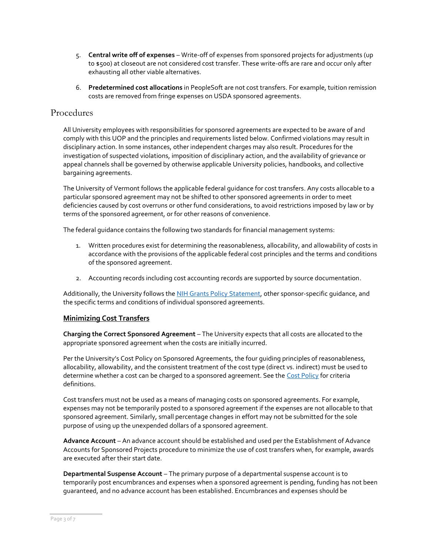- 5. **Central write off of expenses** Write-off of expenses from sponsored projects for adjustments (up to \$500) at closeout are not considered cost transfer. These write-offs are rare and occur only after exhausting all other viable alternatives.
- 6. **Predetermined cost allocations** in PeopleSoft are not cost transfers. For example, tuition remission costs are removed from fringe expenses on USDA sponsored agreements.

## Procedures

All University employees with responsibilities for sponsored agreements are expected to be aware of and comply with this UOP and the principles and requirements listed below. Confirmed violations may result in disciplinary action. In some instances, other independent charges may also result. Procedures for the investigation of suspected violations, imposition of disciplinary action, and the availability of grievance or appeal channels shall be governed by otherwise applicable University policies, handbooks, and collective bargaining agreements.

The University of Vermont follows the applicable federal guidance for cost transfers. Any costs allocable to a particular sponsored agreement may not be shifted to other sponsored agreements in order to meet deficiencies caused by cost overruns or other fund considerations, to avoid restrictions imposed by law or by terms of the sponsored agreement, or for other reasons of convenience.

The federal guidance contains the following two standards for financial management systems:

- 1. Written procedures exist for determining the reasonableness, allocability, and allowability of costs in accordance with the provisions of the applicable federal cost principles and the terms and conditions of the sponsored agreement.
- 2. Accounting records including cost accounting records are supported by source documentation.

Additionally, the University follows the [NIH Grants Policy Statement,](https://grants.nih.gov/policy/nihgps/index.htm) other sponsor-specific quidance, and the specific terms and conditions of individual sponsored agreements.

## **Minimizing Cost Transfers**

**Charging the Correct Sponsored Agreement** – The University expects that all costs are allocated to the appropriate sponsored agreement when the costs are initially incurred.

Per the University's Cost Policy on Sponsored Agreements, the four guiding principles of reasonableness, allocability, allowability, and the consistent treatment of the cost type (direct vs. indirect) must be used to determine whether a cost can be charged to a sponsored agreement. See the [Cost Policy](https://www.uvm.edu/sites/default/files/UVM-Policies/policies/SponAgree_CostPolicy.pdf) for criteria definitions.

Cost transfers must not be used as a means of managing costs on sponsored agreements. For example, expenses may not be temporarily posted to a sponsored agreement if the expenses are not allocable to that sponsored agreement. Similarly, small percentage changes in effort may not be submitted for the sole purpose of using up the unexpended dollars of a sponsored agreement.

**Advance Account** – An advance account should be established and used per the Establishment of Advance Accounts for Sponsored Projects procedure to minimize the use of cost transfers when, for example, awards are executed after their start date.

**Departmental Suspense Account** – The primary purpose of a departmental suspense account is to temporarily post encumbrances and expenses when a sponsored agreement is pending, funding has not been guaranteed, and no advance account has been established. Encumbrances and expenses should be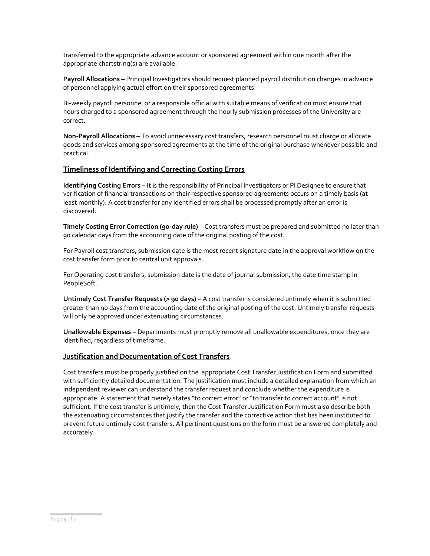transferred to the appropriate advance account or sponsored agreement within one month after the appropriate chartstring(s) are available.

**Payroll Allocations** – Principal Investigators should request planned payroll distribution changes in advance of personnel applying actual effort on their sponsored agreements.

Bi-weekly payroll personnel or a responsible official with suitable means of verification must ensure that hours charged to a sponsored agreement through the hourly submission processes of the University are correct.

**Non-Payroll Allocations** – To avoid unnecessary cost transfers, research personnel must charge or allocate goods and services among sponsored agreements at the time of the original purchase whenever possible and practical.

#### **Timeliness of Identifying and Correcting Costing Errors**

**Identifying Costing Errors –** It is the responsibility of Principal Investigators or PI Designee to ensure that verification of financial transactions on their respective sponsored agreements occurs on a timely basis (at least monthly). A cost transfer for any identified errors shall be processed promptly after an error is discovered.

**Timely Costing Error Correction (90-day rule)** – Cost transfers must be prepared and submitted no later than 90 calendar days from the accounting date of the original posting of the cost.

For Payroll cost transfers, submission date is the most recent signature date in the approval workflow on the cost transfer form prior to central unit approvals.

For Operating cost transfers, submission date is the date of journal submission, the date time stamp in PeopleSoft.

**Untimely Cost Transfer Requests (> 90 days)** – A cost transfer is considered untimely when it is submitted greater than 90 days from the accounting date of the original posting of the cost. Untimely transfer requests will only be approved under extenuating circumstances.

**Unallowable Expenses** – Departments must promptly remove all unallowable expenditures, once they are identified, regardless of timeframe.

#### **Justification and Documentation of Cost Transfers**

Cost transfers must be properly justified on the appropriate Cost Transfer Justification Form and submitted with sufficiently detailed documentation. The justification must include a detailed explanation from which an independent reviewer can understand the transfer request and conclude whether the expenditure is appropriate. A statement that merely states "to correct error" or "to transfer to correct account" is not sufficient. If the cost transfer is untimely, then the Cost Transfer Justification Form must also describe both the extenuating circumstances that justify the transfer and the corrective action that has been instituted to prevent future untimely cost transfers. All pertinent questions on the form must be answered completely and accurately.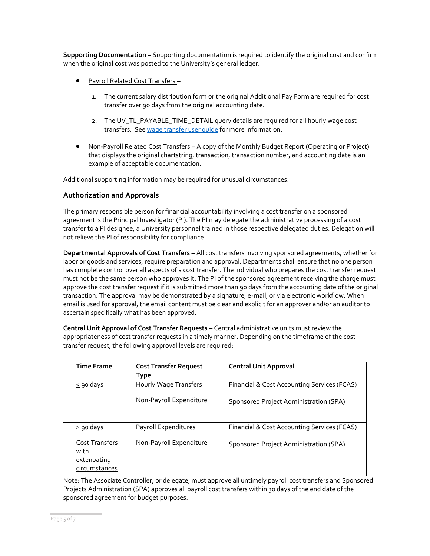**Supporting Documentation –** Supporting documentation is required to identify the original cost and confirm when the original cost was posted to the University's general ledger.

- Payroll Related Cost Transfers **–**
	- 1. The current salary distribution form or the original Additional Pay Form are required for cost transfer over 90 days from the original accounting date.
	- 2. The UV\_TL\_PAYABLE\_TIME\_DETAIL query details are required for all hourly wage cost transfers. Se[e wage transfer user guide](https://www.uvm.edu/sites/default/files/Division-of-Finance/UserGuides/wagetransfer.pdf) for more information.
- Non-Payroll Related Cost Transfers A copy of the Monthly Budget Report (Operating or Project) that displays the original chartstring, transaction, transaction number, and accounting date is an example of acceptable documentation.

Additional supporting information may be required for unusual circumstances.

#### **Authorization and Approvals**

The primary responsible person for financial accountability involving a cost transfer on a sponsored agreement is the Principal Investigator (PI). The PI may delegate the administrative processing of a cost transfer to a PI designee, a University personnel trained in those respective delegated duties. Delegation will not relieve the PI of responsibility for compliance.

**Departmental Approvals of Cost Transfers** – All cost transfers involving sponsored agreements, whether for labor or goods and services, require preparation and approval. Departments shall ensure that no one person has complete control over all aspects of a cost transfer. The individual who prepares the cost transfer request must not be the same person who approves it. The PI of the sponsored agreement receiving the charge must approve the cost transfer request if it is submitted more than 90 days from the accounting date of the original transaction. The approval may be demonstrated by a signature, e-mail, or via electronic workflow. When email is used for approval, the email content must be clear and explicit for an approver and/or an auditor to ascertain specifically what has been approved.

**Central Unit Approval of Cost Transfer Requests –** Central administrative units must review the appropriateness of cost transfer requests in a timely manner. Depending on the timeframe of the cost transfer request, the following approval levels are required:

| <b>Time Frame</b>             | <b>Cost Transfer Request</b><br><b>Type</b> | <b>Central Unit Approval</b>                |
|-------------------------------|---------------------------------------------|---------------------------------------------|
| $\leq$ 90 days                | Hourly Wage Transfers                       | Financial & Cost Accounting Services (FCAS) |
|                               | Non-Payroll Expenditure                     | Sponsored Project Administration (SPA)      |
|                               |                                             |                                             |
| > 90 days                     | Payroll Expenditures                        | Financial & Cost Accounting Services (FCAS) |
| <b>Cost Transfers</b><br>with | Non-Payroll Expenditure                     | Sponsored Project Administration (SPA)      |
| extenuating                   |                                             |                                             |
| circumstances                 |                                             |                                             |

Note: The Associate Controller, or delegate, must approve all untimely payroll cost transfers and Sponsored Projects Administration (SPA) approves all payroll cost transfers within 30 days of the end date of the sponsored agreement for budget purposes.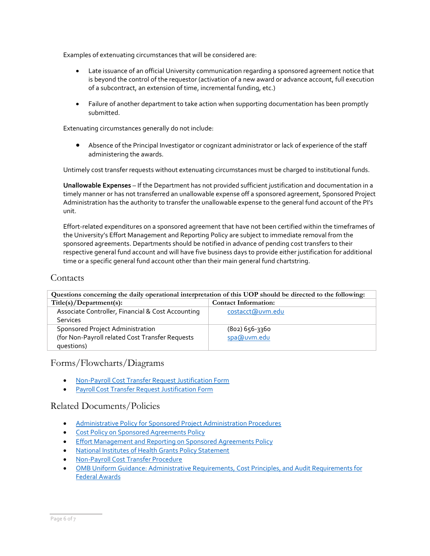Examples of extenuating circumstances that will be considered are:

- Late issuance of an official University communication regarding a sponsored agreement notice that is beyond the control of the requestor (activation of a new award or advance account, full execution of a subcontract, an extension of time, incremental funding, etc.)
- Failure of another department to take action when supporting documentation has been promptly submitted.

Extenuating circumstances generally do not include:

• Absence of the Principal Investigator or cognizant administrator or lack of experience of the staff administering the awards.

Untimely cost transfer requests without extenuating circumstances must be charged to institutional funds.

**Unallowable Expenses** – If the Department has not provided sufficient justification and documentation in a timely manner or has not transferred an unallowable expense off a sponsored agreement, Sponsored Project Administration has the authority to transfer the unallowable expense to the general fund account of the PI's unit.

Effort-related expenditures on a sponsored agreement that have not been certified within the timeframes of the University's Effort Management and Reporting Policy are subject to immediate removal from the sponsored agreements. Departments should be notified in advance of pending cost transfers to their respective general fund account and will have five business days to provide either justification for additional time or a specific general fund account other than their main general fund chartstring.

### **Contacts**

| Questions concerning the daily operational interpretation of this UOP should be directed to the following: |                             |  |  |  |  |
|------------------------------------------------------------------------------------------------------------|-----------------------------|--|--|--|--|
| Title(s)/Department(s):                                                                                    | <b>Contact Information:</b> |  |  |  |  |
| Associate Controller, Financial & Cost Accounting                                                          | costacct@uvm.edu            |  |  |  |  |
| <b>Services</b>                                                                                            |                             |  |  |  |  |
| Sponsored Project Administration                                                                           | $(802) 656 - 3360$          |  |  |  |  |
| (for Non-Payroll related Cost Transfer Requests                                                            | spa@uvm.edu                 |  |  |  |  |
| questions)                                                                                                 |                             |  |  |  |  |

Forms/Flowcharts/Diagrams

- [Non-Payroll Cost Transfer Request Justification Form](https://www.uvm.edu/sites/default/files/Sponsored-Project-Administration/nonpayroll_cost_transfer_form.pdf)
- Payroll Cost Transfer [Request Justification Form](https://www.uvm.edu/sites/default/files/Division-of-Finance/Forms/cost_transfer_form.pdf)

## Related Documents/Policies

- [Administrative Policy for Sponsored Project Administration Procedures](https://www.uvm.edu/sites/default/files/UVM-Policies/policies/SPAprocedures.pdf)
- Cost Policy [on Sponsored Agreements Policy](https://www.uvm.edu/sites/default/files/UVM-Policies/policies/SponAgree_CostPolicy.pdf)
- [Effort Management and](https://www.uvm.edu/sites/default/files/UVM-Policies/policies/effortreporting.pdf) Reporting on Sponsored Agreements Policy
- National [Institutes of Health](https://grants.nih.gov/policy/nihgps/index.htm) Grants Policy Statement
- [Non-Payroll Cost Transfer Procedure](https://www.uvm.edu/uvmweb/sponsored_programs/spa-procedures)
- OMB Uniform Guidance: Administrative [Requirements, Cost Principles, and Audit Requirements for](http://www.ecfr.gov/cgi-bin/text-idx?SID=704835d27377ef5213a51c149de40cab&node=2%3A1.1.2.2.1&rgn=div5)  Federal [Awards](http://www.ecfr.gov/cgi-bin/text-idx?SID=704835d27377ef5213a51c149de40cab&node=2%3A1.1.2.2.1&rgn=div5)